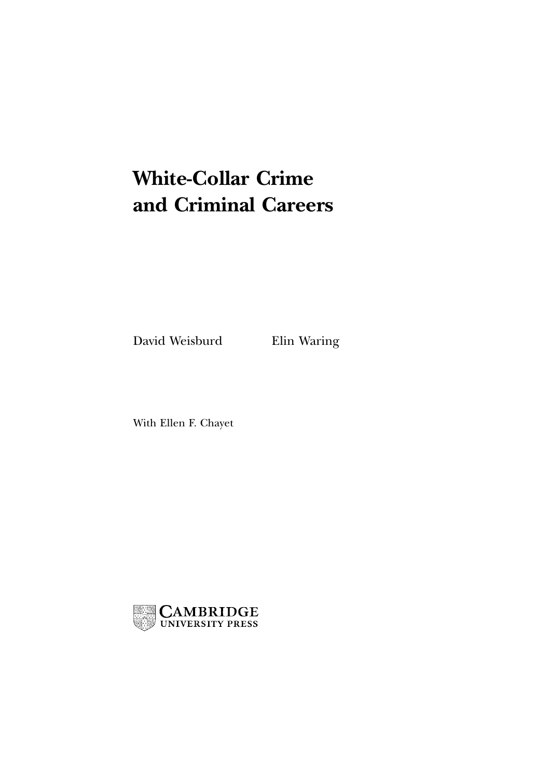# **White-Collar Crime and Criminal Careers**

David Weisburd Elin Waring

With Ellen F. Chayet

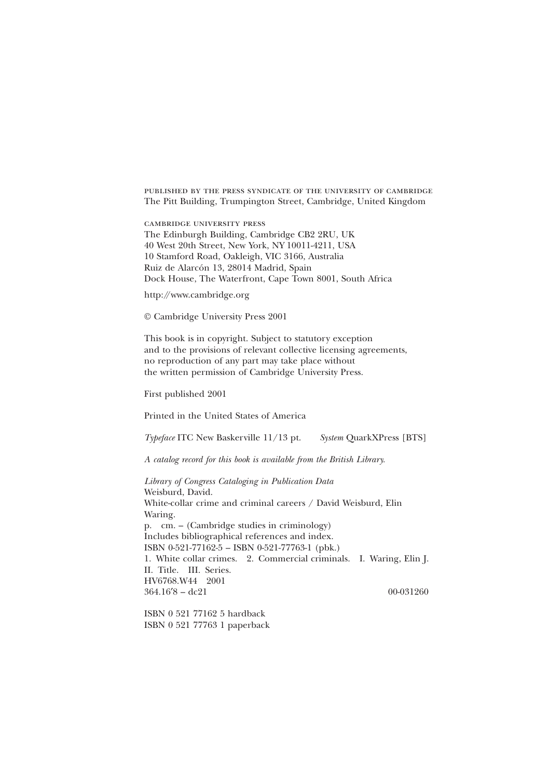published by the press syndicate of the university of cambridge The Pitt Building, Trumpington Street, Cambridge, United Kingdom

cambridge university press The Edinburgh Building, Cambridge CB2 2RU, UK 40 West 20th Street, New York, NY 10011-4211, USA 10 Stamford Road, Oakleigh, VIC 3166, Australia Ruiz de Alarcón 13, 28014 Madrid, Spain Dock House, The Waterfront, Cape Town 8001, South Africa

http://www.cambridge.org

© Cambridge University Press 2001

This book is in copyright. Subject to statutory exception and to the provisions of relevant collective licensing agreements, no reproduction of any part may take place without the written permission of Cambridge University Press.

First published 2001

Printed in the United States of America

*Typeface* ITC New Baskerville 11/13 pt. *System* QuarkXPress [BTS]

*A catalog record for this book is available from the British Library.*

*Library of Congress Cataloging in Publication Data* Weisburd, David. White-collar crime and criminal careers / David Weisburd, Elin Waring. p. cm. – (Cambridge studies in criminology) Includes bibliographical references and index. ISBN 0-521-77162-5 – ISBN 0-521-77763-1 (pbk.) 1. White collar crimes. 2. Commercial criminals. I. Waring, Elin J. II. Title. III. Series. HV6768.W44 2001 364.16¢8 – dc21 00-031260

ISBN 0 521 77162 5 hardback ISBN 0 521 77763 1 paperback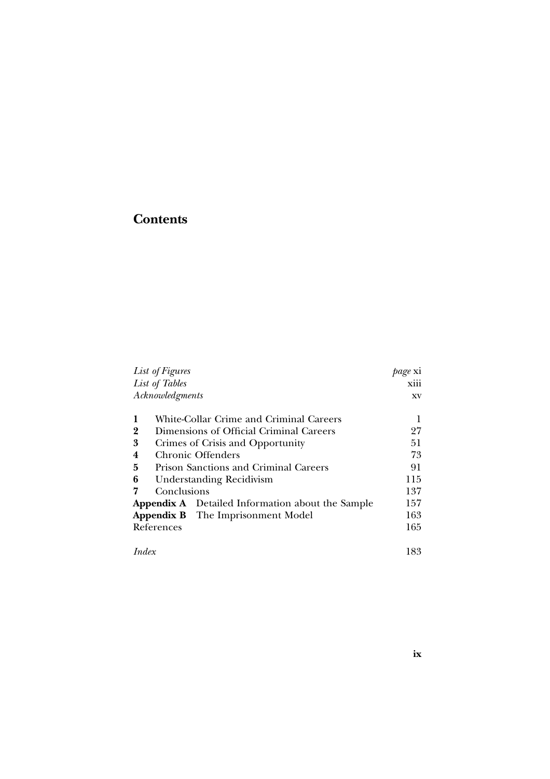### **Contents**

|                  | List of Figures |                                                         | page xi |
|------------------|-----------------|---------------------------------------------------------|---------|
| List of Tables   |                 |                                                         |         |
|                  | Acknowledgments |                                                         | XV      |
| 1                |                 | White-Collar Crime and Criminal Careers                 | 1       |
| $\boldsymbol{2}$ |                 | Dimensions of Official Criminal Careers                 | 27      |
| $\boldsymbol{3}$ |                 | Crimes of Crisis and Opportunity                        | 51      |
| $\boldsymbol{4}$ |                 | <b>Chronic Offenders</b>                                | 73      |
| $5\overline{ }$  |                 | Prison Sanctions and Criminal Careers                   | 91      |
| 6                |                 | <b>Understanding Recidivism</b>                         | 115     |
| 7                | Conclusions     |                                                         | 137     |
|                  |                 | <b>Appendix A</b> Detailed Information about the Sample | 157     |
|                  |                 | <b>Appendix B</b> The Imprisonment Model                | 163     |
|                  | References      |                                                         | 165     |
| Index            |                 |                                                         | 183     |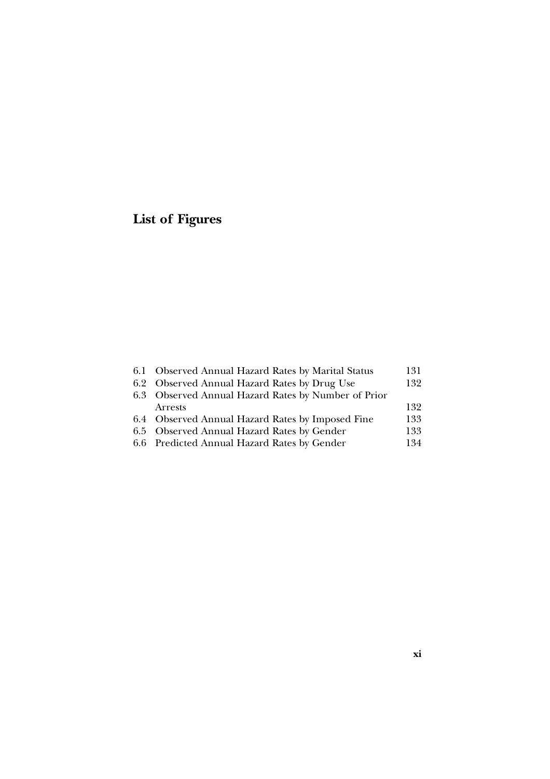# **List of Figures**

| 6.1 Observed Annual Hazard Rates by Marital Status  | 131 |
|-----------------------------------------------------|-----|
| 6.2 Observed Annual Hazard Rates by Drug Use        | 132 |
| 6.3 Observed Annual Hazard Rates by Number of Prior |     |
| Arrests                                             | 132 |
| 6.4 Observed Annual Hazard Rates by Imposed Fine    | 133 |
| 6.5 Observed Annual Hazard Rates by Gender          | 133 |
| 6.6 Predicted Annual Hazard Rates by Gender         | 134 |
|                                                     |     |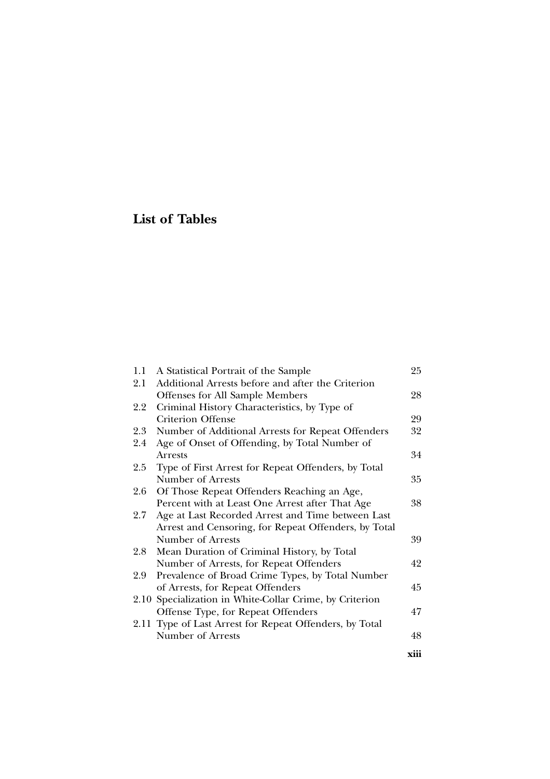## **List of Tables**

| 1.1 | A Statistical Portrait of the Sample                    | 25 |
|-----|---------------------------------------------------------|----|
| 2.1 | Additional Arrests before and after the Criterion       |    |
|     | <b>Offenses for All Sample Members</b>                  | 28 |
| 2.2 | Criminal History Characteristics, by Type of            |    |
|     | <b>Criterion Offense</b>                                | 29 |
| 2.3 | Number of Additional Arrests for Repeat Offenders       | 32 |
| 2.4 | Age of Onset of Offending, by Total Number of           |    |
|     | Arrests                                                 | 34 |
| 2.5 | Type of First Arrest for Repeat Offenders, by Total     |    |
|     | <b>Number of Arrests</b>                                | 35 |
| 2.6 | Of Those Repeat Offenders Reaching an Age,              |    |
|     | Percent with at Least One Arrest after That Age         | 38 |
| 2.7 | Age at Last Recorded Arrest and Time between Last       |    |
|     | Arrest and Censoring, for Repeat Offenders, by Total    |    |
|     | <b>Number of Arrests</b>                                | 39 |
| 2.8 | Mean Duration of Criminal History, by Total             |    |
|     | Number of Arrests, for Repeat Offenders                 | 42 |
| 2.9 | Prevalence of Broad Crime Types, by Total Number        |    |
|     | of Arrests, for Repeat Offenders                        | 45 |
|     | 2.10 Specialization in White-Collar Crime, by Criterion |    |
|     | Offense Type, for Repeat Offenders                      | 47 |
|     | 2.11 Type of Last Arrest for Repeat Offenders, by Total |    |
|     | <b>Number of Arrests</b>                                | 48 |
|     |                                                         |    |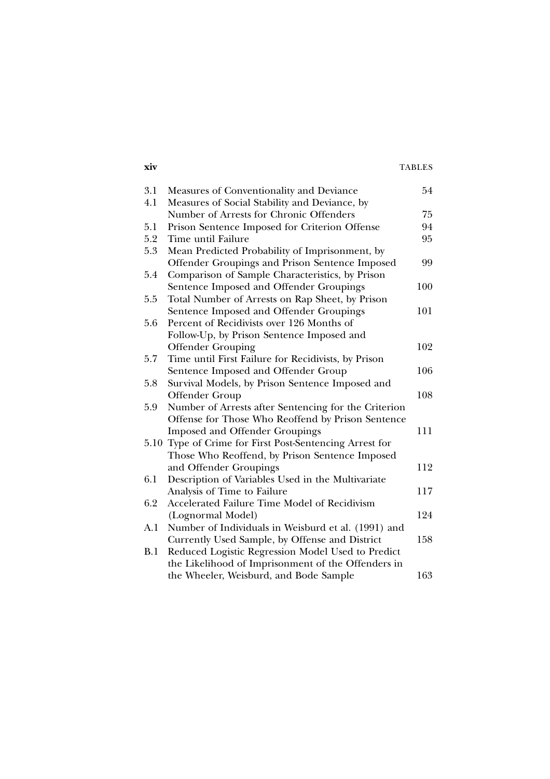| 3.1 | Measures of Conventionality and Deviance                | 54  |
|-----|---------------------------------------------------------|-----|
| 4.1 | Measures of Social Stability and Deviance, by           |     |
|     | Number of Arrests for Chronic Offenders                 | 75  |
| 5.1 | Prison Sentence Imposed for Criterion Offense           | 94  |
| 5.2 | Time until Failure                                      | 95  |
| 5.3 | Mean Predicted Probability of Imprisonment, by          |     |
|     | Offender Groupings and Prison Sentence Imposed          | 99  |
| 5.4 | Comparison of Sample Characteristics, by Prison         |     |
|     | Sentence Imposed and Offender Groupings                 | 100 |
| 5.5 | Total Number of Arrests on Rap Sheet, by Prison         |     |
|     | Sentence Imposed and Offender Groupings                 | 101 |
| 5.6 | Percent of Recidivists over 126 Months of               |     |
|     | Follow-Up, by Prison Sentence Imposed and               |     |
|     | <b>Offender Grouping</b>                                | 102 |
| 5.7 | Time until First Failure for Recidivists, by Prison     |     |
|     | Sentence Imposed and Offender Group                     | 106 |
| 5.8 | Survival Models, by Prison Sentence Imposed and         |     |
|     | <b>Offender Group</b>                                   | 108 |
| 5.9 | Number of Arrests after Sentencing for the Criterion    |     |
|     | Offense for Those Who Reoffend by Prison Sentence       |     |
|     | <b>Imposed and Offender Groupings</b>                   | 111 |
|     | 5.10 Type of Crime for First Post-Sentencing Arrest for |     |
|     | Those Who Reoffend, by Prison Sentence Imposed          |     |
|     | and Offender Groupings                                  | 112 |
| 6.1 | Description of Variables Used in the Multivariate       |     |
|     | Analysis of Time to Failure                             | 117 |
| 6.2 | Accelerated Failure Time Model of Recidivism            |     |
|     | (Lognormal Model)                                       | 124 |
| A.1 | Number of Individuals in Weisburd et al. (1991) and     |     |
|     | Currently Used Sample, by Offense and District          | 158 |
| B.1 | Reduced Logistic Regression Model Used to Predict       |     |
|     | the Likelihood of Imprisonment of the Offenders in      |     |
|     | the Wheeler, Weisburd, and Bode Sample                  | 163 |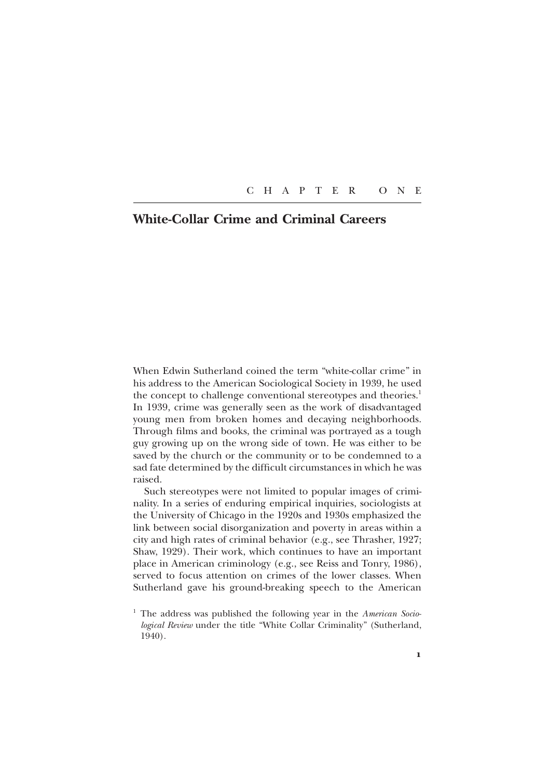### **White-Collar Crime and Criminal Careers**

When Edwin Sutherland coined the term "white-collar crime" in his address to the American Sociological Society in 1939, he used the concept to challenge conventional stereotypes and theories.<sup>1</sup> In 1939, crime was generally seen as the work of disadvantaged young men from broken homes and decaying neighborhoods. Through films and books, the criminal was portrayed as a tough guy growing up on the wrong side of town. He was either to be saved by the church or the community or to be condemned to a sad fate determined by the difficult circumstances in which he was raised.

Such stereotypes were not limited to popular images of criminality. In a series of enduring empirical inquiries, sociologists at the University of Chicago in the 1920s and 1930s emphasized the link between social disorganization and poverty in areas within a city and high rates of criminal behavior (e.g., see Thrasher, 1927; Shaw, 1929). Their work, which continues to have an important place in American criminology (e.g., see Reiss and Tonry, 1986), served to focus attention on crimes of the lower classes. When Sutherland gave his ground-breaking speech to the American

<sup>1</sup> The address was published the following year in the *American Sociological Review* under the title "White Collar Criminality" (Sutherland, 1940).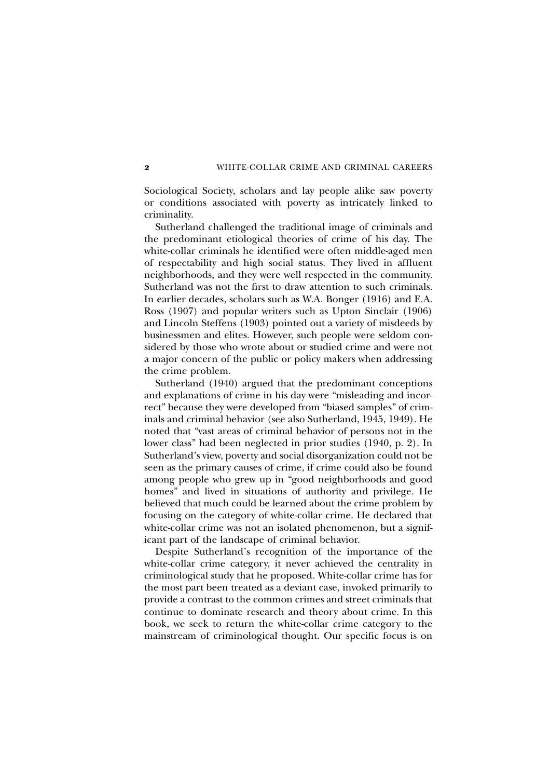Sociological Society, scholars and lay people alike saw poverty or conditions associated with poverty as intricately linked to criminality.

Sutherland challenged the traditional image of criminals and the predominant etiological theories of crime of his day. The white-collar criminals he identified were often middle-aged men of respectability and high social status. They lived in affluent neighborhoods, and they were well respected in the community. Sutherland was not the first to draw attention to such criminals. In earlier decades, scholars such as W.A. Bonger (1916) and E.A. Ross (1907) and popular writers such as Upton Sinclair (1906) and Lincoln Steffens (1903) pointed out a variety of misdeeds by businessmen and elites. However, such people were seldom considered by those who wrote about or studied crime and were not a major concern of the public or policy makers when addressing the crime problem.

Sutherland (1940) argued that the predominant conceptions and explanations of crime in his day were "misleading and incorrect" because they were developed from "biased samples" of criminals and criminal behavior (see also Sutherland, 1945, 1949). He noted that "vast areas of criminal behavior of persons not in the lower class" had been neglected in prior studies (1940, p. 2). In Sutherland's view, poverty and social disorganization could not be seen as the primary causes of crime, if crime could also be found among people who grew up in "good neighborhoods and good homes" and lived in situations of authority and privilege. He believed that much could be learned about the crime problem by focusing on the category of white-collar crime. He declared that white-collar crime was not an isolated phenomenon, but a significant part of the landscape of criminal behavior.

Despite Sutherland's recognition of the importance of the white-collar crime category, it never achieved the centrality in criminological study that he proposed. White-collar crime has for the most part been treated as a deviant case, invoked primarily to provide a contrast to the common crimes and street criminals that continue to dominate research and theory about crime. In this book, we seek to return the white-collar crime category to the mainstream of criminological thought. Our specific focus is on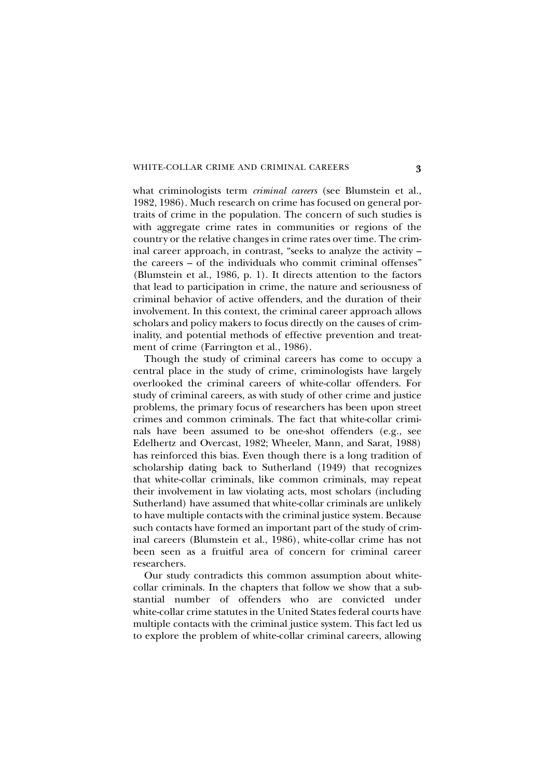what criminologists term *criminal careers* (see Blumstein et al., 1982, 1986). Much research on crime has focused on general portraits of crime in the population. The concern of such studies is with aggregate crime rates in communities or regions of the country or the relative changes in crime rates over time. The criminal career approach, in contrast, "seeks to analyze the activity – the careers – of the individuals who commit criminal offenses" (Blumstein et al., 1986, p. 1). It directs attention to the factors that lead to participation in crime, the nature and seriousness of criminal behavior of active offenders, and the duration of their involvement. In this context, the criminal career approach allows scholars and policy makers to focus directly on the causes of criminality, and potential methods of effective prevention and treatment of crime (Farrington et al., 1986).

Though the study of criminal careers has come to occupy a central place in the study of crime, criminologists have largely overlooked the criminal careers of white-collar offenders. For study of criminal careers, as with study of other crime and justice problems, the primary focus of researchers has been upon street crimes and common criminals. The fact that white-collar criminals have been assumed to be one-shot offenders (e.g., see Edelhertz and Overcast, 1982; Wheeler, Mann, and Sarat, 1988) has reinforced this bias. Even though there is a long tradition of scholarship dating back to Sutherland (1949) that recognizes that white-collar criminals, like common criminals, may repeat their involvement in law violating acts, most scholars (including Sutherland) have assumed that white-collar criminals are unlikely to have multiple contacts with the criminal justice system. Because such contacts have formed an important part of the study of criminal careers (Blumstein et al., 1986), white-collar crime has not been seen as a fruitful area of concern for criminal career researchers.

Our study contradicts this common assumption about whitecollar criminals. In the chapters that follow we show that a substantial number of offenders who are convicted under white-collar crime statutes in the United States federal courts have multiple contacts with the criminal justice system. This fact led us to explore the problem of white-collar criminal careers, allowing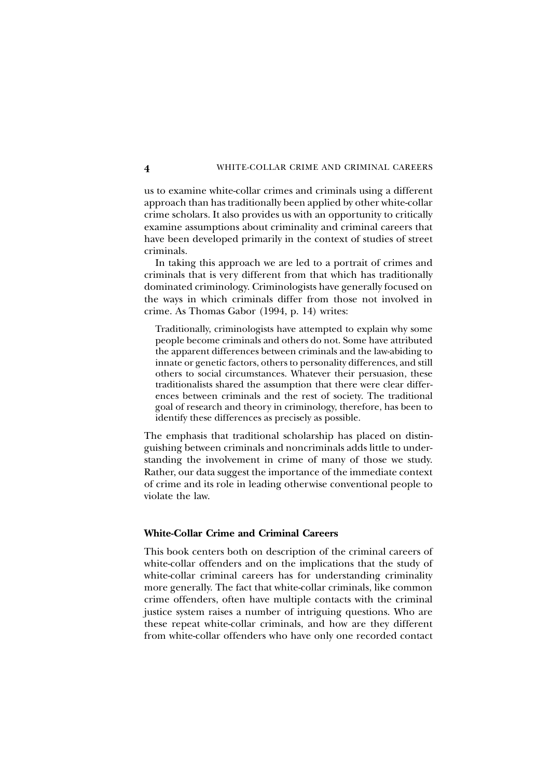us to examine white-collar crimes and criminals using a different approach than has traditionally been applied by other white-collar crime scholars. It also provides us with an opportunity to critically examine assumptions about criminality and criminal careers that have been developed primarily in the context of studies of street criminals.

In taking this approach we are led to a portrait of crimes and criminals that is very different from that which has traditionally dominated criminology. Criminologists have generally focused on the ways in which criminals differ from those not involved in crime. As Thomas Gabor (1994, p. 14) writes:

Traditionally, criminologists have attempted to explain why some people become criminals and others do not. Some have attributed the apparent differences between criminals and the law-abiding to innate or genetic factors, others to personality differences, and still others to social circumstances. Whatever their persuasion, these traditionalists shared the assumption that there were clear differences between criminals and the rest of society. The traditional goal of research and theory in criminology, therefore, has been to identify these differences as precisely as possible.

The emphasis that traditional scholarship has placed on distinguishing between criminals and noncriminals adds little to understanding the involvement in crime of many of those we study. Rather, our data suggest the importance of the immediate context of crime and its role in leading otherwise conventional people to violate the law.

#### **White-Collar Crime and Criminal Careers**

This book centers both on description of the criminal careers of white-collar offenders and on the implications that the study of white-collar criminal careers has for understanding criminality more generally. The fact that white-collar criminals, like common crime offenders, often have multiple contacts with the criminal justice system raises a number of intriguing questions. Who are these repeat white-collar criminals, and how are they different from white-collar offenders who have only one recorded contact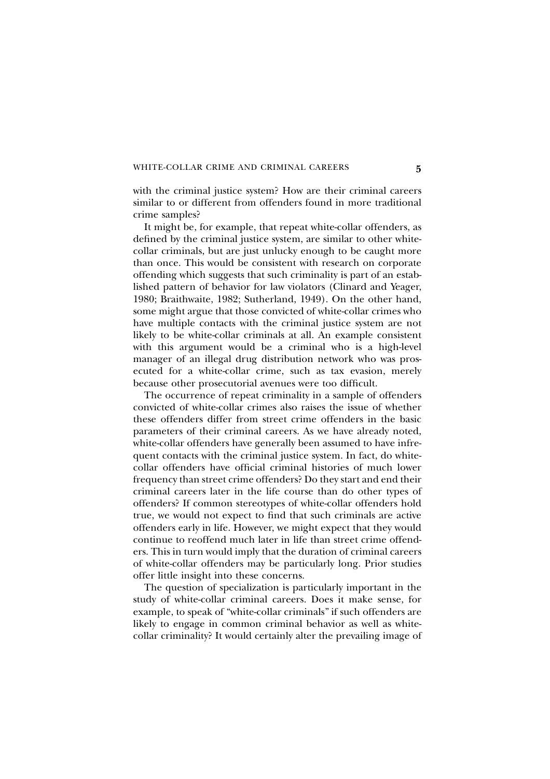with the criminal justice system? How are their criminal careers similar to or different from offenders found in more traditional crime samples?

It might be, for example, that repeat white-collar offenders, as defined by the criminal justice system, are similar to other whitecollar criminals, but are just unlucky enough to be caught more than once. This would be consistent with research on corporate offending which suggests that such criminality is part of an established pattern of behavior for law violators (Clinard and Yeager, 1980; Braithwaite, 1982; Sutherland, 1949). On the other hand, some might argue that those convicted of white-collar crimes who have multiple contacts with the criminal justice system are not likely to be white-collar criminals at all. An example consistent with this argument would be a criminal who is a high-level manager of an illegal drug distribution network who was prosecuted for a white-collar crime, such as tax evasion, merely because other prosecutorial avenues were too difficult.

The occurrence of repeat criminality in a sample of offenders convicted of white-collar crimes also raises the issue of whether these offenders differ from street crime offenders in the basic parameters of their criminal careers. As we have already noted, white-collar offenders have generally been assumed to have infrequent contacts with the criminal justice system. In fact, do whitecollar offenders have official criminal histories of much lower frequency than street crime offenders? Do they start and end their criminal careers later in the life course than do other types of offenders? If common stereotypes of white-collar offenders hold true, we would not expect to find that such criminals are active offenders early in life. However, we might expect that they would continue to reoffend much later in life than street crime offenders. This in turn would imply that the duration of criminal careers of white-collar offenders may be particularly long. Prior studies offer little insight into these concerns.

The question of specialization is particularly important in the study of white-collar criminal careers. Does it make sense, for example, to speak of "white-collar criminals" if such offenders are likely to engage in common criminal behavior as well as whitecollar criminality? It would certainly alter the prevailing image of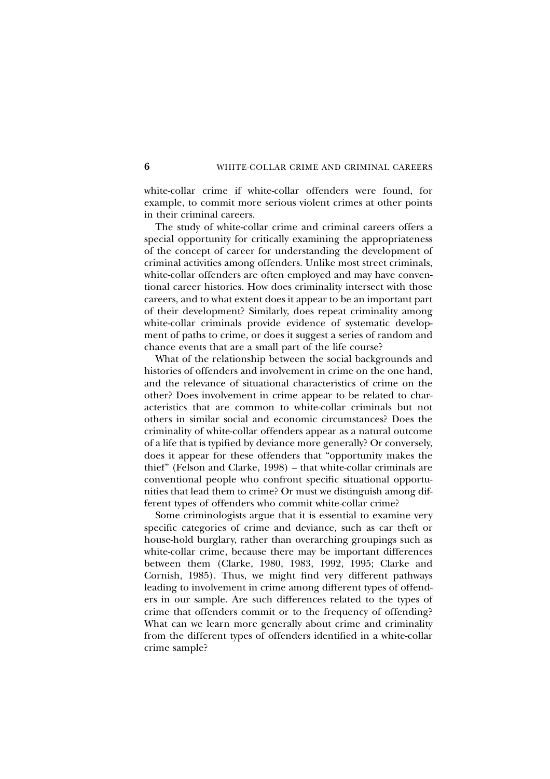white-collar crime if white-collar offenders were found, for example, to commit more serious violent crimes at other points in their criminal careers.

The study of white-collar crime and criminal careers offers a special opportunity for critically examining the appropriateness of the concept of career for understanding the development of criminal activities among offenders. Unlike most street criminals, white-collar offenders are often employed and may have conventional career histories. How does criminality intersect with those careers, and to what extent does it appear to be an important part of their development? Similarly, does repeat criminality among white-collar criminals provide evidence of systematic development of paths to crime, or does it suggest a series of random and chance events that are a small part of the life course?

What of the relationship between the social backgrounds and histories of offenders and involvement in crime on the one hand, and the relevance of situational characteristics of crime on the other? Does involvement in crime appear to be related to characteristics that are common to white-collar criminals but not others in similar social and economic circumstances? Does the criminality of white-collar offenders appear as a natural outcome of a life that is typified by deviance more generally? Or conversely, does it appear for these offenders that "opportunity makes the thief" (Felson and Clarke, 1998) – that white-collar criminals are conventional people who confront specific situational opportunities that lead them to crime? Or must we distinguish among different types of offenders who commit white-collar crime?

Some criminologists argue that it is essential to examine very specific categories of crime and deviance, such as car theft or house-hold burglary, rather than overarching groupings such as white-collar crime, because there may be important differences between them (Clarke, 1980, 1983, 1992, 1995; Clarke and Cornish, 1985). Thus, we might find very different pathways leading to involvement in crime among different types of offenders in our sample. Are such differences related to the types of crime that offenders commit or to the frequency of offending? What can we learn more generally about crime and criminality from the different types of offenders identified in a white-collar crime sample?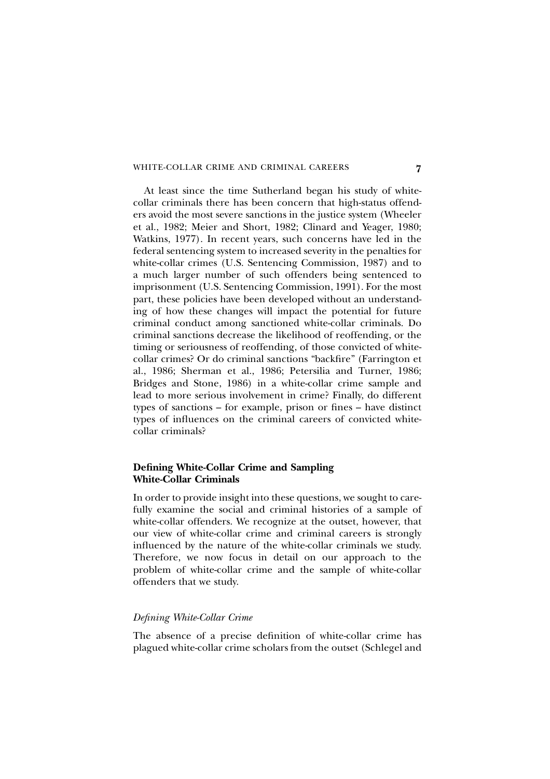At least since the time Sutherland began his study of whitecollar criminals there has been concern that high-status offenders avoid the most severe sanctions in the justice system (Wheeler et al., 1982; Meier and Short, 1982; Clinard and Yeager, 1980; Watkins, 1977). In recent years, such concerns have led in the federal sentencing system to increased severity in the penalties for white-collar crimes (U.S. Sentencing Commission, 1987) and to a much larger number of such offenders being sentenced to imprisonment (U.S. Sentencing Commission, 1991). For the most part, these policies have been developed without an understanding of how these changes will impact the potential for future criminal conduct among sanctioned white-collar criminals. Do criminal sanctions decrease the likelihood of reoffending, or the timing or seriousness of reoffending, of those convicted of whitecollar crimes? Or do criminal sanctions "backfire" (Farrington et al., 1986; Sherman et al., 1986; Petersilia and Turner, 1986; Bridges and Stone, 1986) in a white-collar crime sample and lead to more serious involvement in crime? Finally, do different types of sanctions – for example, prison or fines – have distinct types of influences on the criminal careers of convicted whitecollar criminals?

#### **Defining White-Collar Crime and Sampling White-Collar Criminals**

In order to provide insight into these questions, we sought to carefully examine the social and criminal histories of a sample of white-collar offenders. We recognize at the outset, however, that our view of white-collar crime and criminal careers is strongly influenced by the nature of the white-collar criminals we study. Therefore, we now focus in detail on our approach to the problem of white-collar crime and the sample of white-collar offenders that we study.

#### *Defining White-Collar Crime*

The absence of a precise definition of white-collar crime has plagued white-collar crime scholars from the outset (Schlegel and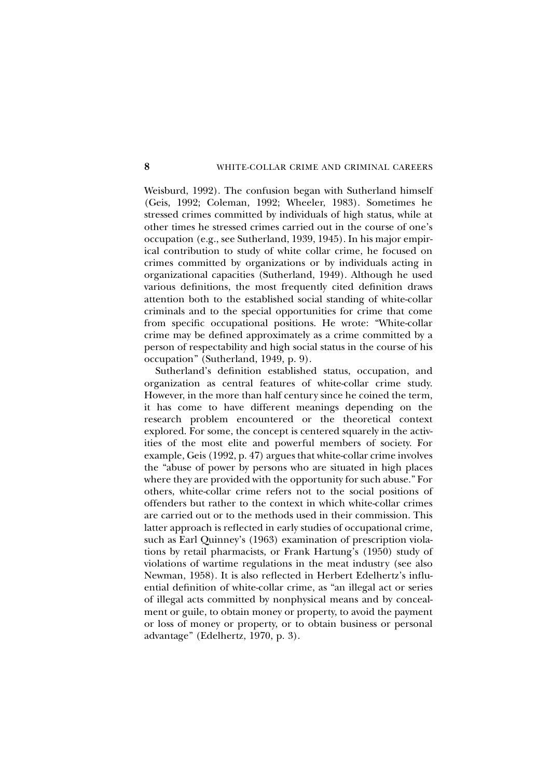Weisburd, 1992). The confusion began with Sutherland himself (Geis, 1992; Coleman, 1992; Wheeler, 1983). Sometimes he stressed crimes committed by individuals of high status, while at other times he stressed crimes carried out in the course of one's occupation (e.g., see Sutherland, 1939, 1945). In his major empirical contribution to study of white collar crime, he focused on crimes committed by organizations or by individuals acting in organizational capacities (Sutherland, 1949). Although he used various definitions, the most frequently cited definition draws attention both to the established social standing of white-collar criminals and to the special opportunities for crime that come from specific occupational positions. He wrote: "White-collar crime may be defined approximately as a crime committed by a person of respectability and high social status in the course of his occupation" (Sutherland, 1949, p. 9).

Sutherland's definition established status, occupation, and organization as central features of white-collar crime study. However, in the more than half century since he coined the term, it has come to have different meanings depending on the research problem encountered or the theoretical context explored. For some, the concept is centered squarely in the activities of the most elite and powerful members of society. For example, Geis (1992, p. 47) argues that white-collar crime involves the "abuse of power by persons who are situated in high places where they are provided with the opportunity for such abuse." For others, white-collar crime refers not to the social positions of offenders but rather to the context in which white-collar crimes are carried out or to the methods used in their commission. This latter approach is reflected in early studies of occupational crime, such as Earl Quinney's (1963) examination of prescription violations by retail pharmacists, or Frank Hartung's (1950) study of violations of wartime regulations in the meat industry (see also Newman, 1958). It is also reflected in Herbert Edelhertz's influential definition of white-collar crime, as "an illegal act or series of illegal acts committed by nonphysical means and by concealment or guile, to obtain money or property, to avoid the payment or loss of money or property, or to obtain business or personal advantage" (Edelhertz, 1970, p. 3).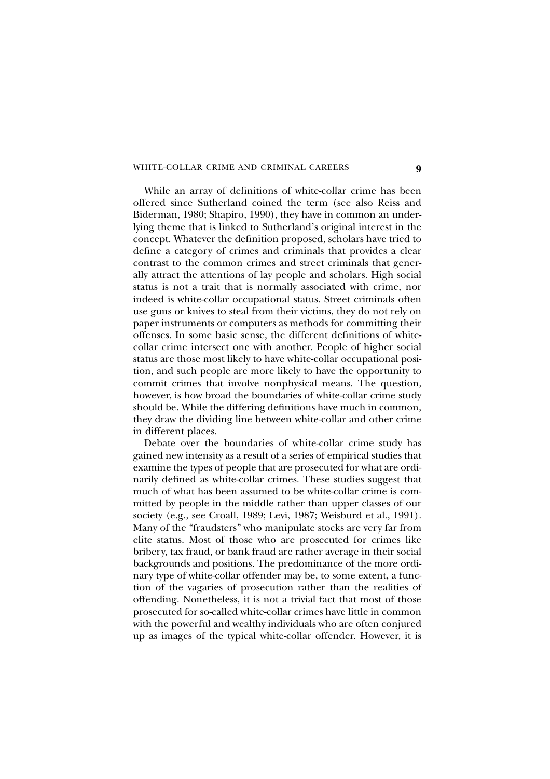While an array of definitions of white-collar crime has been offered since Sutherland coined the term (see also Reiss and Biderman, 1980; Shapiro, 1990), they have in common an underlying theme that is linked to Sutherland's original interest in the concept. Whatever the definition proposed, scholars have tried to define a category of crimes and criminals that provides a clear contrast to the common crimes and street criminals that generally attract the attentions of lay people and scholars. High social status is not a trait that is normally associated with crime, nor indeed is white-collar occupational status. Street criminals often use guns or knives to steal from their victims, they do not rely on paper instruments or computers as methods for committing their offenses. In some basic sense, the different definitions of whitecollar crime intersect one with another. People of higher social status are those most likely to have white-collar occupational position, and such people are more likely to have the opportunity to commit crimes that involve nonphysical means. The question, however, is how broad the boundaries of white-collar crime study should be. While the differing definitions have much in common, they draw the dividing line between white-collar and other crime in different places.

Debate over the boundaries of white-collar crime study has gained new intensity as a result of a series of empirical studies that examine the types of people that are prosecuted for what are ordinarily defined as white-collar crimes. These studies suggest that much of what has been assumed to be white-collar crime is committed by people in the middle rather than upper classes of our society (e.g., see Croall, 1989; Levi, 1987; Weisburd et al., 1991). Many of the "fraudsters" who manipulate stocks are very far from elite status. Most of those who are prosecuted for crimes like bribery, tax fraud, or bank fraud are rather average in their social backgrounds and positions. The predominance of the more ordinary type of white-collar offender may be, to some extent, a function of the vagaries of prosecution rather than the realities of offending. Nonetheless, it is not a trivial fact that most of those prosecuted for so-called white-collar crimes have little in common with the powerful and wealthy individuals who are often conjured up as images of the typical white-collar offender. However, it is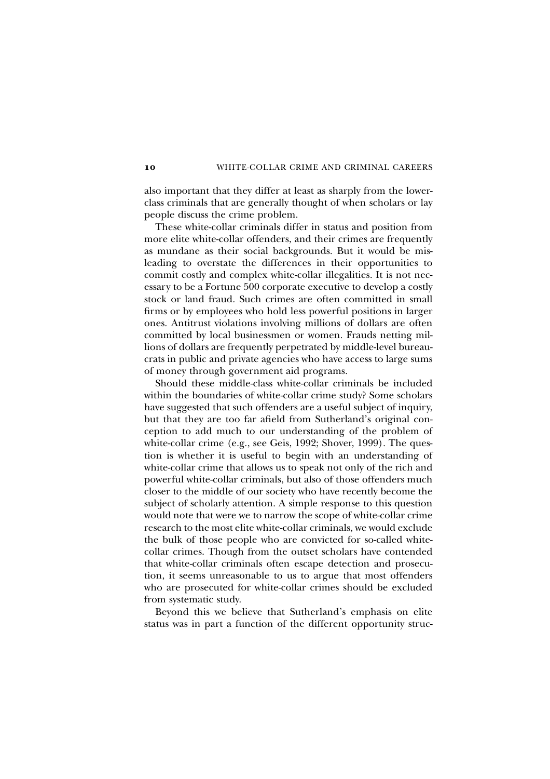also important that they differ at least as sharply from the lowerclass criminals that are generally thought of when scholars or lay people discuss the crime problem.

These white-collar criminals differ in status and position from more elite white-collar offenders, and their crimes are frequently as mundane as their social backgrounds. But it would be misleading to overstate the differences in their opportunities to commit costly and complex white-collar illegalities. It is not necessary to be a Fortune 500 corporate executive to develop a costly stock or land fraud. Such crimes are often committed in small firms or by employees who hold less powerful positions in larger ones. Antitrust violations involving millions of dollars are often committed by local businessmen or women. Frauds netting millions of dollars are frequently perpetrated by middle-level bureaucrats in public and private agencies who have access to large sums of money through government aid programs.

Should these middle-class white-collar criminals be included within the boundaries of white-collar crime study? Some scholars have suggested that such offenders are a useful subject of inquiry, but that they are too far afield from Sutherland's original conception to add much to our understanding of the problem of white-collar crime (e.g., see Geis, 1992; Shover, 1999). The question is whether it is useful to begin with an understanding of white-collar crime that allows us to speak not only of the rich and powerful white-collar criminals, but also of those offenders much closer to the middle of our society who have recently become the subject of scholarly attention. A simple response to this question would note that were we to narrow the scope of white-collar crime research to the most elite white-collar criminals, we would exclude the bulk of those people who are convicted for so-called whitecollar crimes. Though from the outset scholars have contended that white-collar criminals often escape detection and prosecution, it seems unreasonable to us to argue that most offenders who are prosecuted for white-collar crimes should be excluded from systematic study.

Beyond this we believe that Sutherland's emphasis on elite status was in part a function of the different opportunity struc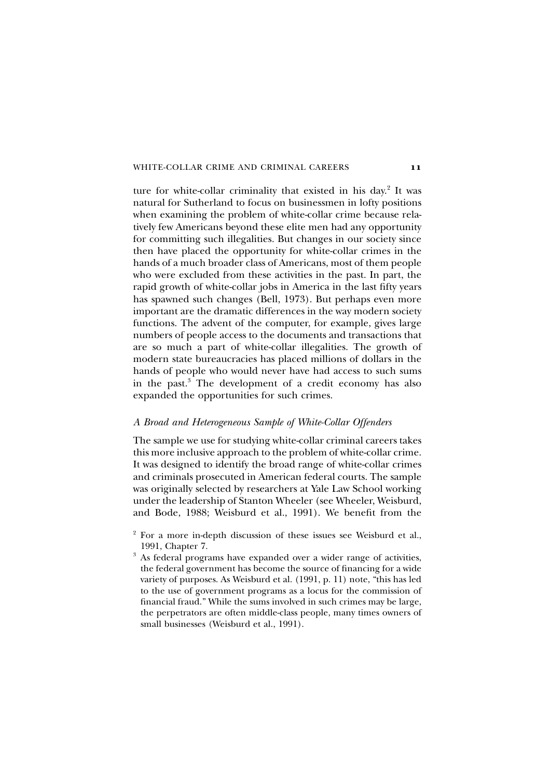ture for white-collar criminality that existed in his day.<sup>2</sup> It was natural for Sutherland to focus on businessmen in lofty positions when examining the problem of white-collar crime because relatively few Americans beyond these elite men had any opportunity for committing such illegalities. But changes in our society since then have placed the opportunity for white-collar crimes in the hands of a much broader class of Americans, most of them people who were excluded from these activities in the past. In part, the rapid growth of white-collar jobs in America in the last fifty years has spawned such changes (Bell, 1973). But perhaps even more important are the dramatic differences in the way modern society functions. The advent of the computer, for example, gives large numbers of people access to the documents and transactions that are so much a part of white-collar illegalities. The growth of modern state bureaucracies has placed millions of dollars in the hands of people who would never have had access to such sums in the past.<sup>3</sup> The development of a credit economy has also expanded the opportunities for such crimes.

#### *A Broad and Heterogeneous Sample of White-Collar Offenders*

The sample we use for studying white-collar criminal careers takes this more inclusive approach to the problem of white-collar crime. It was designed to identify the broad range of white-collar crimes and criminals prosecuted in American federal courts. The sample was originally selected by researchers at Yale Law School working under the leadership of Stanton Wheeler (see Wheeler, Weisburd, and Bode, 1988; Weisburd et al., 1991). We benefit from the

- <sup>2</sup> For a more in-depth discussion of these issues see Weisburd et al., 1991, Chapter 7.
- <sup>3</sup> As federal programs have expanded over a wider range of activities, the federal government has become the source of financing for a wide variety of purposes. As Weisburd et al. (1991, p. 11) note, "this has led to the use of government programs as a locus for the commission of financial fraud." While the sums involved in such crimes may be large, the perpetrators are often middle-class people, many times owners of small businesses (Weisburd et al., 1991).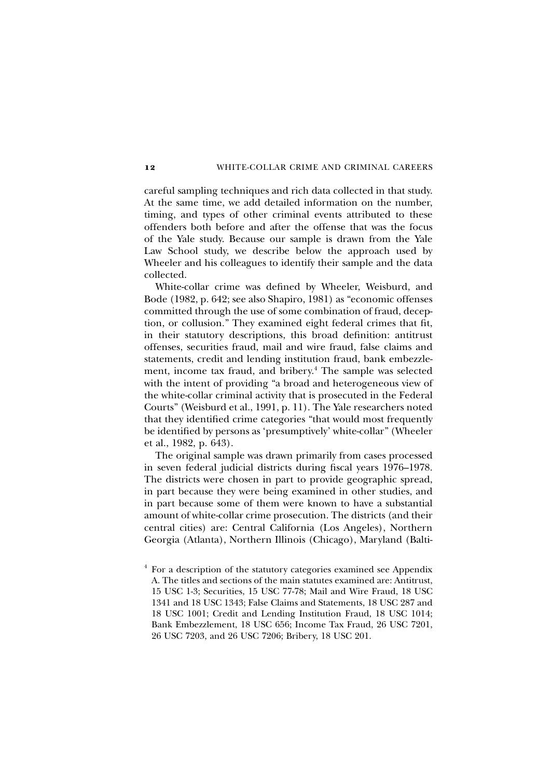careful sampling techniques and rich data collected in that study. At the same time, we add detailed information on the number, timing, and types of other criminal events attributed to these offenders both before and after the offense that was the focus of the Yale study. Because our sample is drawn from the Yale Law School study, we describe below the approach used by Wheeler and his colleagues to identify their sample and the data collected.

White-collar crime was defined by Wheeler, Weisburd, and Bode (1982, p. 642; see also Shapiro, 1981) as "economic offenses committed through the use of some combination of fraud, deception, or collusion." They examined eight federal crimes that fit, in their statutory descriptions, this broad definition: antitrust offenses, securities fraud, mail and wire fraud, false claims and statements, credit and lending institution fraud, bank embezzlement, income tax fraud, and bribery.<sup>4</sup> The sample was selected with the intent of providing "a broad and heterogeneous view of the white-collar criminal activity that is prosecuted in the Federal Courts" (Weisburd et al., 1991, p. 11). The Yale researchers noted that they identified crime categories "that would most frequently be identified by persons as 'presumptively' white-collar" (Wheeler et al., 1982, p. 643).

The original sample was drawn primarily from cases processed in seven federal judicial districts during fiscal years 1976–1978. The districts were chosen in part to provide geographic spread, in part because they were being examined in other studies, and in part because some of them were known to have a substantial amount of white-collar crime prosecution. The districts (and their central cities) are: Central California (Los Angeles), Northern Georgia (Atlanta), Northern Illinois (Chicago), Maryland (Balti-

<sup>&</sup>lt;sup>4</sup> For a description of the statutory categories examined see Appendix A. The titles and sections of the main statutes examined are: Antitrust, 15 USC 1-3; Securities, 15 USC 77-78; Mail and Wire Fraud, 18 USC 1341 and 18 USC 1343; False Claims and Statements, 18 USC 287 and 18 USC 1001; Credit and Lending Institution Fraud, 18 USC 1014; Bank Embezzlement, 18 USC 656; Income Tax Fraud, 26 USC 7201, 26 USC 7203, and 26 USC 7206; Bribery, 18 USC 201.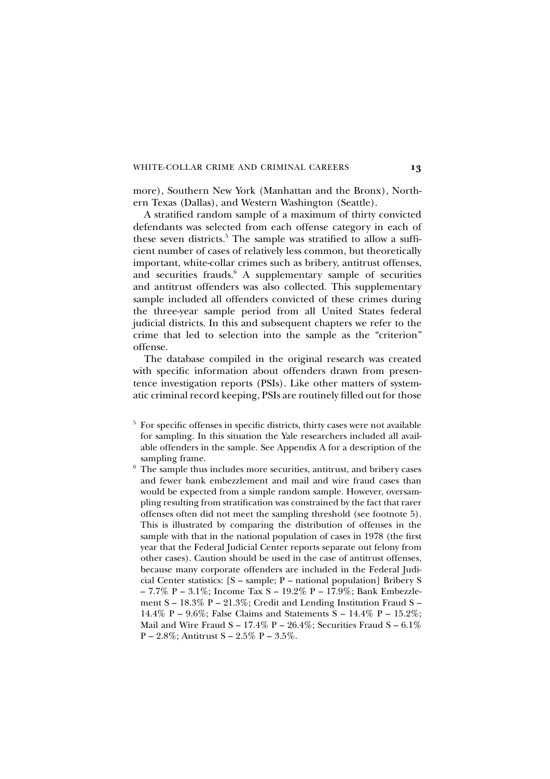more), Southern New York (Manhattan and the Bronx), Northern Texas (Dallas), and Western Washington (Seattle).

A stratified random sample of a maximum of thirty convicted defendants was selected from each offense category in each of these seven districts.<sup>5</sup> The sample was stratified to allow a sufficient number of cases of relatively less common, but theoretically important, white-collar crimes such as bribery, antitrust offenses, and securities frauds.<sup>6</sup> A supplementary sample of securities and antitrust offenders was also collected. This supplementary sample included all offenders convicted of these crimes during the three-year sample period from all United States federal judicial districts. In this and subsequent chapters we refer to the crime that led to selection into the sample as the "criterion" offense.

The database compiled in the original research was created with specific information about offenders drawn from presentence investigation reports (PSIs). Like other matters of systematic criminal record keeping, PSIs are routinely filled out for those

- $5$  For specific offenses in specific districts, thirty cases were not available for sampling. In this situation the Yale researchers included all available offenders in the sample. See Appendix A for a description of the sampling frame.
- <sup>6</sup> The sample thus includes more securities, antitrust, and bribery cases and fewer bank embezzlement and mail and wire fraud cases than would be expected from a simple random sample. However, oversampling resulting from stratification was constrained by the fact that rarer offenses often did not meet the sampling threshold (see footnote 5). This is illustrated by comparing the distribution of offenses in the sample with that in the national population of cases in 1978 (the first year that the Federal Judicial Center reports separate out felony from other cases). Caution should be used in the case of antitrust offenses, because many corporate offenders are included in the Federal Judicial Center statistics: [S – sample; P – national population] Bribery S – 7.7% P – 3.1%; Income Tax S – 19.2% P – 17.9%; Bank Embezzlement S – 18.3% P – 21.3%; Credit and Lending Institution Fraud S – 14.4% P – 9.6%; False Claims and Statements S – 14.4% P – 15.2%; Mail and Wire Fraud  $S - 17.4\%$  P – 26.4%; Securities Fraud  $S - 6.1\%$ P – 2.8%; Antitrust S – 2.5% P – 3.5%.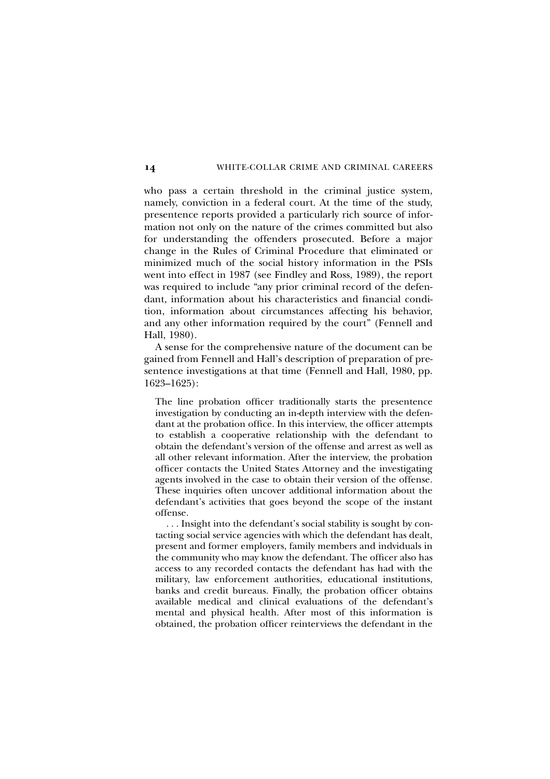who pass a certain threshold in the criminal justice system, namely, conviction in a federal court. At the time of the study, presentence reports provided a particularly rich source of information not only on the nature of the crimes committed but also for understanding the offenders prosecuted. Before a major change in the Rules of Criminal Procedure that eliminated or minimized much of the social history information in the PSIs went into effect in 1987 (see Findley and Ross, 1989), the report was required to include "any prior criminal record of the defendant, information about his characteristics and financial condition, information about circumstances affecting his behavior, and any other information required by the court" (Fennell and Hall, 1980).

A sense for the comprehensive nature of the document can be gained from Fennell and Hall's description of preparation of presentence investigations at that time (Fennell and Hall, 1980, pp. 1623–1625):

The line probation officer traditionally starts the presentence investigation by conducting an in-depth interview with the defendant at the probation office. In this interview, the officer attempts to establish a cooperative relationship with the defendant to obtain the defendant's version of the offense and arrest as well as all other relevant information. After the interview, the probation officer contacts the United States Attorney and the investigating agents involved in the case to obtain their version of the offense. These inquiries often uncover additional information about the defendant's activities that goes beyond the scope of the instant offense.

. . . Insight into the defendant's social stability is sought by contacting social service agencies with which the defendant has dealt, present and former employers, family members and indviduals in the community who may know the defendant. The officer also has access to any recorded contacts the defendant has had with the military, law enforcement authorities, educational institutions, banks and credit bureaus. Finally, the probation officer obtains available medical and clinical evaluations of the defendant's mental and physical health. After most of this information is obtained, the probation officer reinterviews the defendant in the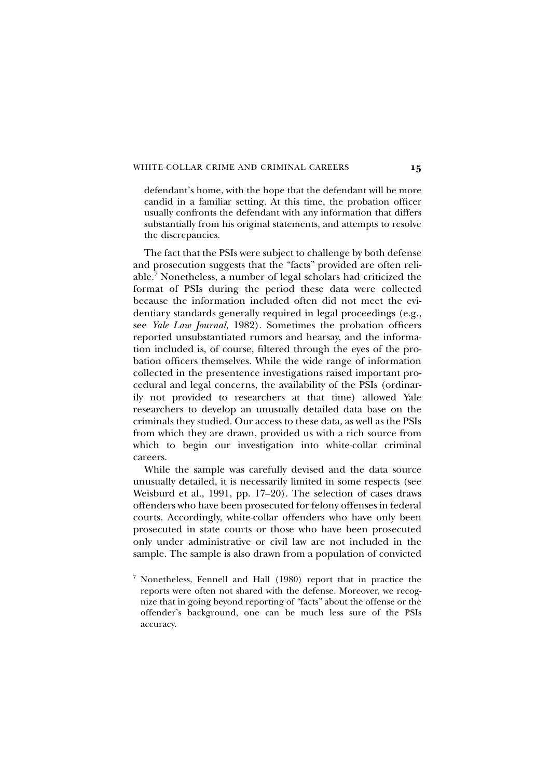defendant's home, with the hope that the defendant will be more candid in a familiar setting. At this time, the probation officer usually confronts the defendant with any information that differs substantially from his original statements, and attempts to resolve the discrepancies.

The fact that the PSIs were subject to challenge by both defense and prosecution suggests that the "facts" provided are often reliable.7 Nonetheless, a number of legal scholars had criticized the format of PSIs during the period these data were collected because the information included often did not meet the evidentiary standards generally required in legal proceedings (e.g., see *Yale Law Journal*, 1982). Sometimes the probation officers reported unsubstantiated rumors and hearsay, and the information included is, of course, filtered through the eyes of the probation officers themselves. While the wide range of information collected in the presentence investigations raised important procedural and legal concerns, the availability of the PSIs (ordinarily not provided to researchers at that time) allowed Yale researchers to develop an unusually detailed data base on the criminals they studied. Our access to these data, as well as the PSIs from which they are drawn, provided us with a rich source from which to begin our investigation into white-collar criminal careers.

While the sample was carefully devised and the data source unusually detailed, it is necessarily limited in some respects (see Weisburd et al., 1991, pp. 17–20). The selection of cases draws offenders who have been prosecuted for felony offenses in federal courts. Accordingly, white-collar offenders who have only been prosecuted in state courts or those who have been prosecuted only under administrative or civil law are not included in the sample. The sample is also drawn from a population of convicted

 $7$  Nonetheless, Fennell and Hall (1980) report that in practice the reports were often not shared with the defense. Moreover, we recognize that in going beyond reporting of "facts" about the offense or the offender's background, one can be much less sure of the PSIs accuracy.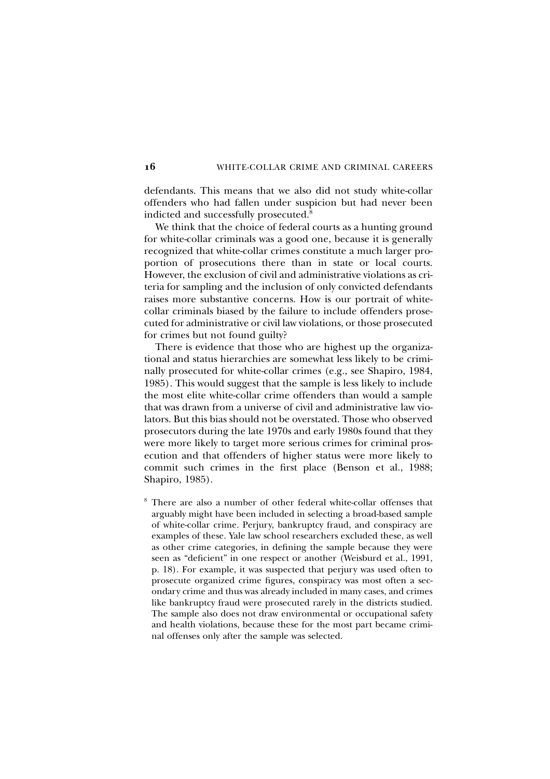defendants. This means that we also did not study white-collar offenders who had fallen under suspicion but had never been indicted and successfully prosecuted.<sup>8</sup>

We think that the choice of federal courts as a hunting ground for white-collar criminals was a good one, because it is generally recognized that white-collar crimes constitute a much larger proportion of prosecutions there than in state or local courts. However, the exclusion of civil and administrative violations as criteria for sampling and the inclusion of only convicted defendants raises more substantive concerns. How is our portrait of whitecollar criminals biased by the failure to include offenders prosecuted for administrative or civil law violations, or those prosecuted for crimes but not found guilty?

There is evidence that those who are highest up the organizational and status hierarchies are somewhat less likely to be criminally prosecuted for white-collar crimes (e.g., see Shapiro, 1984, 1985). This would suggest that the sample is less likely to include the most elite white-collar crime offenders than would a sample that was drawn from a universe of civil and administrative law violators. But this bias should not be overstated. Those who observed prosecutors during the late 1970s and early 1980s found that they were more likely to target more serious crimes for criminal prosecution and that offenders of higher status were more likely to commit such crimes in the first place (Benson et al., 1988; Shapiro, 1985).

<sup>8</sup> There are also a number of other federal white-collar offenses that arguably might have been included in selecting a broad-based sample of white-collar crime. Perjury, bankruptcy fraud, and conspiracy are examples of these. Yale law school researchers excluded these, as well as other crime categories, in defining the sample because they were seen as "deficient" in one respect or another (Weisburd et al., 1991, p. 18). For example, it was suspected that perjury was used often to prosecute organized crime figures, conspiracy was most often a secondary crime and thus was already included in many cases, and crimes like bankruptcy fraud were prosecuted rarely in the districts studied. The sample also does not draw environmental or occupational safety and health violations, because these for the most part became criminal offenses only after the sample was selected.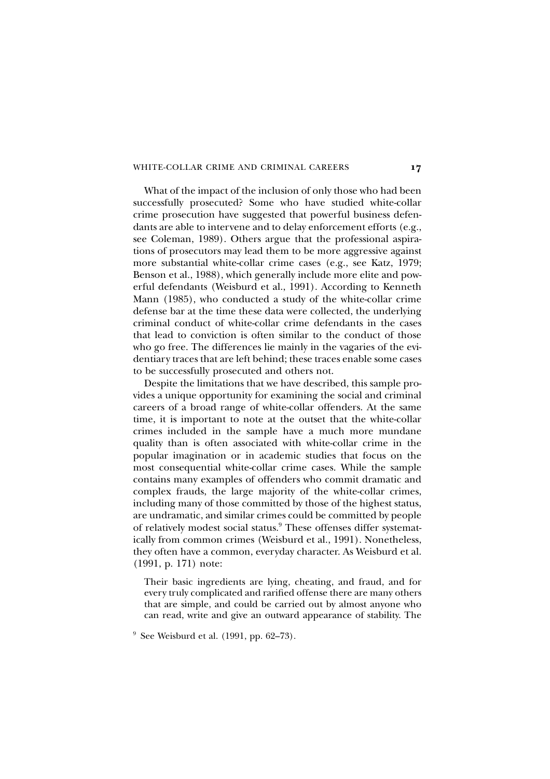What of the impact of the inclusion of only those who had been successfully prosecuted? Some who have studied white-collar crime prosecution have suggested that powerful business defendants are able to intervene and to delay enforcement efforts (e.g., see Coleman, 1989). Others argue that the professional aspirations of prosecutors may lead them to be more aggressive against more substantial white-collar crime cases (e.g., see Katz, 1979; Benson et al., 1988), which generally include more elite and powerful defendants (Weisburd et al., 1991). According to Kenneth Mann (1985), who conducted a study of the white-collar crime defense bar at the time these data were collected, the underlying criminal conduct of white-collar crime defendants in the cases that lead to conviction is often similar to the conduct of those who go free. The differences lie mainly in the vagaries of the evidentiary traces that are left behind; these traces enable some cases to be successfully prosecuted and others not.

Despite the limitations that we have described, this sample provides a unique opportunity for examining the social and criminal careers of a broad range of white-collar offenders. At the same time, it is important to note at the outset that the white-collar crimes included in the sample have a much more mundane quality than is often associated with white-collar crime in the popular imagination or in academic studies that focus on the most consequential white-collar crime cases. While the sample contains many examples of offenders who commit dramatic and complex frauds, the large majority of the white-collar crimes, including many of those committed by those of the highest status, are undramatic, and similar crimes could be committed by people of relatively modest social status.<sup>9</sup> These offenses differ systematically from common crimes (Weisburd et al., 1991). Nonetheless, they often have a common, everyday character. As Weisburd et al. (1991, p. 171) note:

Their basic ingredients are lying, cheating, and fraud, and for every truly complicated and rarified offense there are many others that are simple, and could be carried out by almost anyone who can read, write and give an outward appearance of stability. The

 $9$  See Weisburd et al. (1991, pp. 62–73).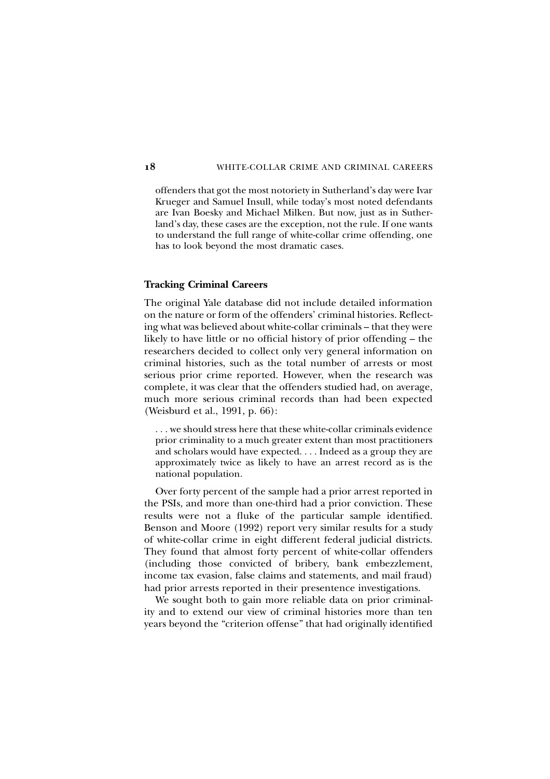offenders that got the most notoriety in Sutherland's day were Ivar Krueger and Samuel Insull, while today's most noted defendants are Ivan Boesky and Michael Milken. But now, just as in Sutherland's day, these cases are the exception, not the rule. If one wants to understand the full range of white-collar crime offending, one has to look beyond the most dramatic cases.

#### **Tracking Criminal Careers**

The original Yale database did not include detailed information on the nature or form of the offenders' criminal histories. Reflecting what was believed about white-collar criminals – that they were likely to have little or no official history of prior offending – the researchers decided to collect only very general information on criminal histories, such as the total number of arrests or most serious prior crime reported. However, when the research was complete, it was clear that the offenders studied had, on average, much more serious criminal records than had been expected (Weisburd et al., 1991, p. 66):

. . . we should stress here that these white-collar criminals evidence prior criminality to a much greater extent than most practitioners and scholars would have expected. . . . Indeed as a group they are approximately twice as likely to have an arrest record as is the national population.

Over forty percent of the sample had a prior arrest reported in the PSIs, and more than one-third had a prior conviction. These results were not a fluke of the particular sample identified. Benson and Moore (1992) report very similar results for a study of white-collar crime in eight different federal judicial districts. They found that almost forty percent of white-collar offenders (including those convicted of bribery, bank embezzlement, income tax evasion, false claims and statements, and mail fraud) had prior arrests reported in their presentence investigations.

We sought both to gain more reliable data on prior criminality and to extend our view of criminal histories more than ten years beyond the "criterion offense" that had originally identified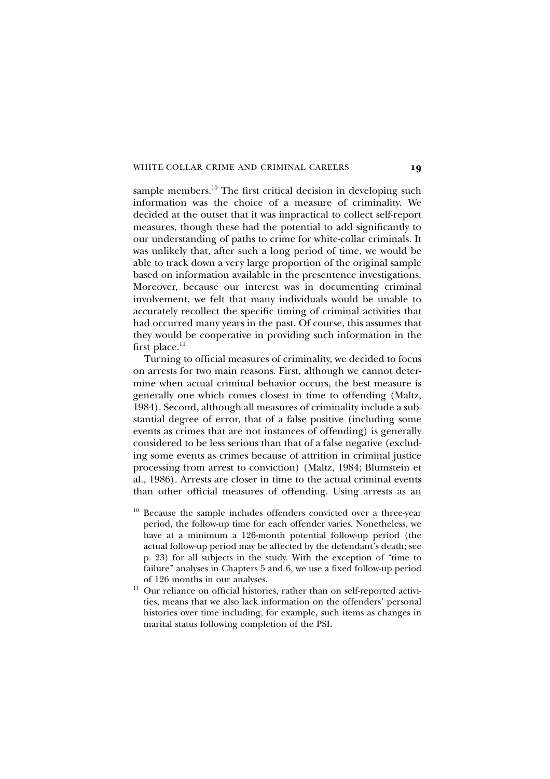sample members.<sup>10</sup> The first critical decision in developing such information was the choice of a measure of criminality. We decided at the outset that it was impractical to collect self-report measures, though these had the potential to add significantly to our understanding of paths to crime for white-collar criminals. It was unlikely that, after such a long period of time, we would be able to track down a very large proportion of the original sample based on information available in the presentence investigations. Moreover, because our interest was in documenting criminal involvement, we felt that many individuals would be unable to accurately recollect the specific timing of criminal activities that had occurred many years in the past. Of course, this assumes that they would be cooperative in providing such information in the first place. $11$ 

Turning to official measures of criminality, we decided to focus on arrests for two main reasons. First, although we cannot determine when actual criminal behavior occurs, the best measure is generally one which comes closest in time to offending (Maltz, 1984). Second, although all measures of criminality include a substantial degree of error, that of a false positive (including some events as crimes that are not instances of offending) is generally considered to be less serious than that of a false negative (excluding some events as crimes because of attrition in criminal justice processing from arrest to conviction) (Maltz, 1984; Blumstein et al., 1986). Arrests are closer in time to the actual criminal events than other official measures of offending. Using arrests as an

- <sup>10</sup> Because the sample includes offenders convicted over a three-year period, the follow-up time for each offender varies. Nonetheless, we have at a minimum a 126-month potential follow-up period (the actual follow-up period may be affected by the defendant's death; see p. 23) for all subjects in the study. With the exception of "time to failure" analyses in Chapters 5 and 6, we use a fixed follow-up period of 126 months in our analyses.
- <sup>11</sup> Our reliance on official histories, rather than on self-reported activities, means that we also lack information on the offenders' personal histories over time including, for example, such items as changes in marital status following completion of the PSI.